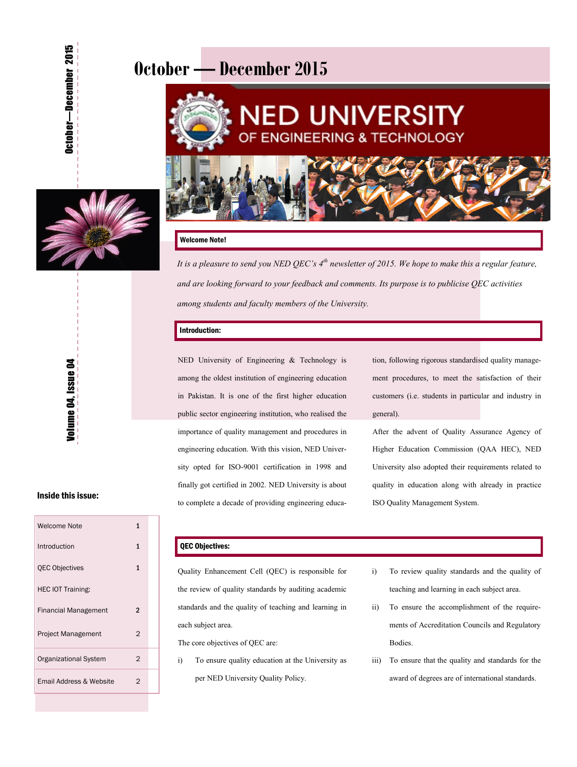# **October — December 2015**



### Welcome Note!

*It is a pleasure to send you NED QEC's 4th newsletter of 2015. We hope to make this a regular feature, and are looking forward to your feedback and comments. Its purpose is to publicise QEC activities among students and faculty members of the University.* 

#### Introduction:

NED University of Engineering & Technology is among the oldest institution of engineering education in Pakistan. It is one of the first higher education public sector engineering institution, who realised the importance of quality management and procedures in engineering education. With this vision, NED University opted for ISO-9001 certification in 1998 and finally got certified in 2002. NED University is about to complete a decade of providing engineering education, following rigorous standardised quality management procedures, to meet the satisfaction of their customers (i.e. students in particular and industry in general).

After the advent of Quality Assurance Agency of Higher Education Commission (QAA HEC), NED University also adopted their requirements related to quality in education along with already in practice ISO Quality Management System.

## Inside this issue:

| Welcome Note                 | 1              |
|------------------------------|----------------|
| Introduction                 | 1              |
| <b>QEC Objectives</b>        | 1              |
| <b>HEC IOT Training:</b>     |                |
| Financial Management         | 2              |
| Project Management           | 2              |
| <b>Organizational System</b> | $\overline{2}$ |
| Email Address & Website      | 2              |

## QEC Objectives:

Quality Enhancement Cell (QEC) is responsible for the review of quality standards by auditing academic standards and the quality of teaching and learning in each subject area.

The core objectives of QEC are:

- i) To ensure quality education at the University as per NED University Quality Policy.
- i) To review quality standards and the quality of teaching and learning in each subject area.
- ii) To ensure the accomplishment of the requirements of Accreditation Councils and Regulatory Bodies.
- iii) To ensure that the quality and standards for the award of degrees are of international standards.



—December 2015

October-December 2015